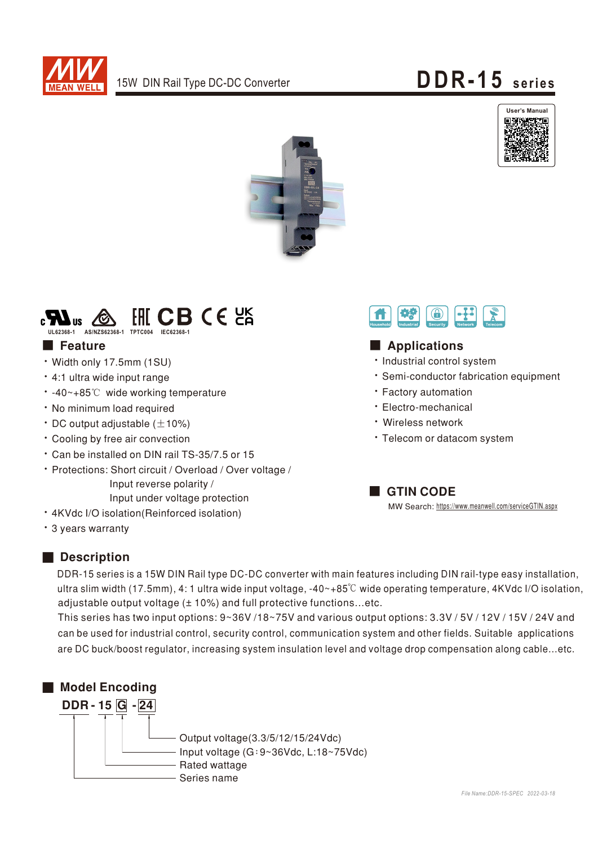







#### **Execute**

- · Width only 17.5mm (1SU)
- · 4:1 ultra wide input range
- -40~+85℃ wide working temperature
- · No minimum load required
- $\cdot$  DC output adjustable ( $\pm$ 10%)
- \* Cooling by free air convection
- \* Can be installed on DIN rail TS-35/7.5 or 15
- · Protections: Short circuit / Overload / Over voltage / Input reverse polarity / Input under voltage protection
- · 4KVdc I/O isolation(Reinforced isolation)
- \* 3 years warranty



DDR-15 series is a 15W DIN Rail type DC-DC converter with main features including DIN rail-type easy installation, ultra slim width (17.5mm), 4: 1 ultra wide input voltage,  $-40-+85^{\circ}$  wide operating temperature, 4KVdc I/O isolation, adjustable output voltage (± 10%) and full protective functions...etc.

This series has two input options: 9~36V /18~75V and various output options: 3.3V / 5V / 12V / 15V / 24V and can be used for industrial control, security control, communication system and other fields. Suitable applications are DC buck/boost regulator, increasing system insulation level and voltage drop compensation along cable...etc.





### Applications

- · Industrial control system
- · Semi-conductor fabrication equipment
- · Factory automation
- · Electro-mechanical
- · Wireless network
- · Telecom or datacom system

**GTIN CODE** MW Search: https://www.meanwell.com/serviceGTIN.aspx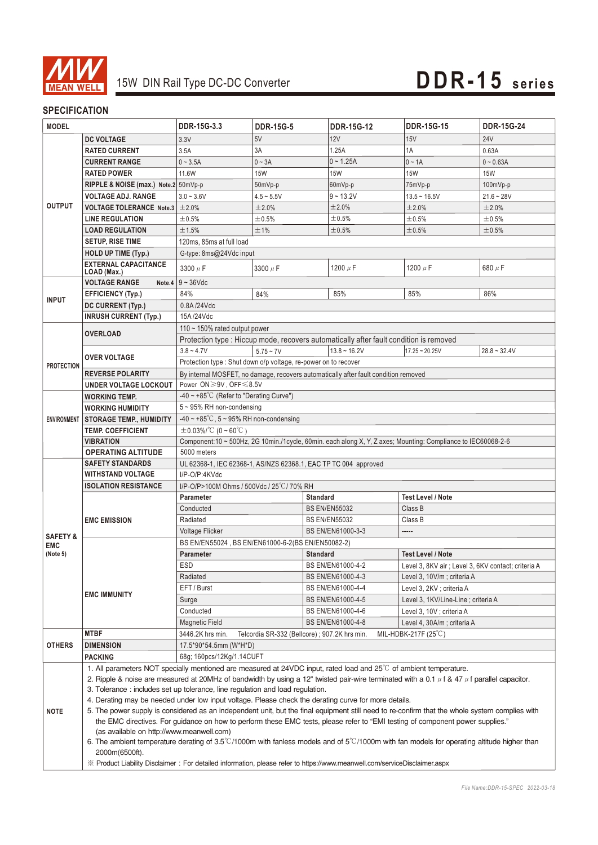

#### **SPECIFICATION**

| <b>MODEL</b>                                  |                                                                                                                                                                                                                                                                                  | DDR-15G-3.3                                                                                                                  | <b>DDR-15G-5</b>                                                         | <b>DDR-15G-12</b>         | <b>DDR-15G-15</b>           | <b>DDR-15G-24</b> |  |  |
|-----------------------------------------------|----------------------------------------------------------------------------------------------------------------------------------------------------------------------------------------------------------------------------------------------------------------------------------|------------------------------------------------------------------------------------------------------------------------------|--------------------------------------------------------------------------|---------------------------|-----------------------------|-------------------|--|--|
|                                               | <b>DC VOLTAGE</b>                                                                                                                                                                                                                                                                | 3.3V                                                                                                                         | 5V                                                                       | 12V                       | 15V                         | <b>24V</b>        |  |  |
|                                               | <b>RATED CURRENT</b>                                                                                                                                                                                                                                                             | 3.5A                                                                                                                         | 3A                                                                       | 1.25A                     | 1A                          | 0.63A             |  |  |
|                                               | <b>CURRENT RANGE</b>                                                                                                                                                                                                                                                             | $0 - 3.5A$                                                                                                                   | $0 - 3A$                                                                 | $0 - 1.25A$               | $0 - 1A$                    | $0 - 0.63A$       |  |  |
|                                               | <b>RATED POWER</b>                                                                                                                                                                                                                                                               | 11.6W                                                                                                                        | <b>15W</b>                                                               | <b>15W</b>                | <b>15W</b>                  | <b>15W</b>        |  |  |
|                                               | RIPPLE & NOISE (max.) Note.2 50mVp-p                                                                                                                                                                                                                                             |                                                                                                                              | 50mVp-p                                                                  | 60mVp-p                   | 75mVp-p                     | 100mVp-p          |  |  |
|                                               | <b>VOLTAGE ADJ. RANGE</b>                                                                                                                                                                                                                                                        | $3.0 - 3.6V$                                                                                                                 | $4.5 - 5.5V$                                                             | $9 - 13.2V$               | $13.5 - 16.5V$              | $21.6 - 28V$      |  |  |
| <b>OUTPUT</b>                                 | <b>VOLTAGE TOLERANCE Note.3</b>                                                                                                                                                                                                                                                  | ±2.0%                                                                                                                        | ±2.0%                                                                    | ±2.0%                     | ±2.0%                       | ±2.0%             |  |  |
|                                               | <b>LINE REGULATION</b>                                                                                                                                                                                                                                                           | ±0.5%                                                                                                                        | ±0.5%                                                                    | ±0.5%                     | ±0.5%                       | ±0.5%             |  |  |
|                                               | <b>LOAD REGULATION</b>                                                                                                                                                                                                                                                           | ±1.5%                                                                                                                        | ±1%                                                                      | ±0.5%                     | ±0.5%                       | ±0.5%             |  |  |
|                                               | <b>SETUP, RISE TIME</b>                                                                                                                                                                                                                                                          | 120ms, 85ms at full load                                                                                                     |                                                                          |                           |                             |                   |  |  |
|                                               | <b>HOLD UP TIME (Typ.)</b>                                                                                                                                                                                                                                                       | G-type: 8ms@24Vdc input                                                                                                      |                                                                          |                           |                             |                   |  |  |
|                                               | <b>EXTERNAL CAPACITANCE</b>                                                                                                                                                                                                                                                      | 3300 $\mu$ F                                                                                                                 | 3300 $\mu$ F                                                             | 1200 $\mu$ F              | 1200 $\mu$ F                | 680 $\mu$ F       |  |  |
|                                               | LOAD (Max.)                                                                                                                                                                                                                                                                      |                                                                                                                              |                                                                          |                           |                             |                   |  |  |
|                                               | <b>VOLTAGE RANGE</b>                                                                                                                                                                                                                                                             | Note.4 $9 - 36$ Vdc                                                                                                          |                                                                          |                           |                             |                   |  |  |
| <b>INPUT</b>                                  | <b>EFFICIENCY (Typ.)</b>                                                                                                                                                                                                                                                         | 84%                                                                                                                          | 84%                                                                      | 85%                       | 85%                         | 86%               |  |  |
|                                               | DC CURRENT (Typ.)                                                                                                                                                                                                                                                                | 0.8A/24Vdc                                                                                                                   |                                                                          |                           |                             |                   |  |  |
|                                               | <b>INRUSH CURRENT (Typ.)</b>                                                                                                                                                                                                                                                     | 15A/24Vdc                                                                                                                    |                                                                          |                           |                             |                   |  |  |
|                                               | <b>OVERLOAD</b>                                                                                                                                                                                                                                                                  | 110 $\sim$ 150% rated output power<br>Protection type : Hiccup mode, recovers automatically after fault condition is removed |                                                                          |                           |                             |                   |  |  |
|                                               |                                                                                                                                                                                                                                                                                  |                                                                                                                              |                                                                          |                           |                             |                   |  |  |
|                                               | <b>OVER VOLTAGE</b>                                                                                                                                                                                                                                                              | $3.8 - 4.7V$                                                                                                                 | $5.75 - 7V$                                                              | $13.8 - 16.2V$            | $17.25 - 20.25V$            | $28.8 - 32.4V$    |  |  |
| <b>PROTECTION</b>                             |                                                                                                                                                                                                                                                                                  | Protection type : Shut down o/p voltage, re-power on to recover                                                              |                                                                          |                           |                             |                   |  |  |
|                                               | <b>REVERSE POLARITY</b>                                                                                                                                                                                                                                                          | By internal MOSFET, no damage, recovers automatically after fault condition removed                                          |                                                                          |                           |                             |                   |  |  |
|                                               | <b>UNDER VOLTAGE LOCKOUT</b>                                                                                                                                                                                                                                                     | Power ON≥9V, OFF≤8.5V                                                                                                        |                                                                          |                           |                             |                   |  |  |
|                                               | <b>WORKING TEMP.</b>                                                                                                                                                                                                                                                             | $-40 \sim +85^{\circ}$ C (Refer to "Derating Curve")                                                                         |                                                                          |                           |                             |                   |  |  |
|                                               | <b>WORKING HUMIDITY</b>                                                                                                                                                                                                                                                          | 5~95% RH non-condensing                                                                                                      |                                                                          |                           |                             |                   |  |  |
| <b>ENVIRONMENT</b>                            | <b>STORAGE TEMP., HUMIDITY</b>                                                                                                                                                                                                                                                   | $-40 \sim +85^{\circ}$ C, 5 ~ 95% RH non-condensing                                                                          |                                                                          |                           |                             |                   |  |  |
|                                               | <b>TEMP. COEFFICIENT</b><br><b>VIBRATION</b>                                                                                                                                                                                                                                     | $\pm 0.03\%$ /°C (0 ~ 60°C)                                                                                                  |                                                                          |                           |                             |                   |  |  |
|                                               | <b>OPERATING ALTITUDE</b>                                                                                                                                                                                                                                                        | Component:10 ~ 500Hz, 2G 10min./1cycle, 60min. each along X, Y, Z axes; Mounting: Compliance to IEC60068-2-6<br>5000 meters  |                                                                          |                           |                             |                   |  |  |
|                                               | <b>SAFETY STANDARDS</b>                                                                                                                                                                                                                                                          | UL 62368-1, IEC 62368-1, AS/NZS 62368.1, EAC TP TC 004 approved                                                              |                                                                          |                           |                             |                   |  |  |
|                                               | <b>WITHSTAND VOLTAGE</b>                                                                                                                                                                                                                                                         | I/P-O/P:4KVdc                                                                                                                |                                                                          |                           |                             |                   |  |  |
|                                               | <b>ISOLATION RESISTANCE</b>                                                                                                                                                                                                                                                      | I/P-O/P>100M Ohms / 500Vdc / 25°C / 70% RH                                                                                   |                                                                          |                           |                             |                   |  |  |
|                                               |                                                                                                                                                                                                                                                                                  | Parameter<br><b>Standard</b><br><b>Test Level / Note</b>                                                                     |                                                                          |                           |                             |                   |  |  |
|                                               | <b>EMC EMISSION</b>                                                                                                                                                                                                                                                              | Conducted                                                                                                                    |                                                                          | <b>BS EN/EN55032</b>      | Class B                     |                   |  |  |
|                                               |                                                                                                                                                                                                                                                                                  | Radiated                                                                                                                     |                                                                          | <b>BS EN/EN55032</b>      | Class B                     |                   |  |  |
|                                               |                                                                                                                                                                                                                                                                                  | <b>Voltage Flicker</b>                                                                                                       |                                                                          | BS EN/EN61000-3-3         |                             |                   |  |  |
| <b>SAFETY &amp;</b><br><b>EMC</b><br>(Note 5) |                                                                                                                                                                                                                                                                                  | BS EN/EN55024, BS EN/EN61000-6-2(BS EN/EN50082-2)                                                                            |                                                                          |                           |                             |                   |  |  |
|                                               | <b>EMC IMMUNITY</b>                                                                                                                                                                                                                                                              | Parameter                                                                                                                    |                                                                          | <b>Standard</b>           | <b>Test Level / Note</b>    |                   |  |  |
|                                               |                                                                                                                                                                                                                                                                                  | ESD                                                                                                                          | BS EN/EN61000-4-2<br>Level 3, 8KV air ; Level 3, 6KV contact; criteria A |                           |                             |                   |  |  |
|                                               |                                                                                                                                                                                                                                                                                  | Radiated                                                                                                                     |                                                                          | BS EN/EN61000-4-3         | Level 3, 10V/m; criteria A  |                   |  |  |
|                                               |                                                                                                                                                                                                                                                                                  | EFT / Burst<br>BS EN/EN61000-4-4                                                                                             |                                                                          | Level 3, 2KV ; criteria A |                             |                   |  |  |
|                                               |                                                                                                                                                                                                                                                                                  | Surge                                                                                                                        | BS EN/EN61000-4-5<br>Level 3, 1KV/Line-Line ; criteria A                 |                           |                             |                   |  |  |
|                                               |                                                                                                                                                                                                                                                                                  | Conducted                                                                                                                    |                                                                          | BS EN/EN61000-4-6         | Level 3, 10V; criteria A    |                   |  |  |
|                                               |                                                                                                                                                                                                                                                                                  | Magnetic Field                                                                                                               |                                                                          | BS EN/EN61000-4-8         | Level 4, 30A/m ; criteria A |                   |  |  |
|                                               | <b>MTBF</b>                                                                                                                                                                                                                                                                      | 3446.2K hrs min.<br>MIL-HDBK-217F $(25^{\circ}C)$<br>Telcordia SR-332 (Bellcore); 907.2K hrs min.                            |                                                                          |                           |                             |                   |  |  |
| <b>OTHERS</b>                                 | <b>DIMENSION</b>                                                                                                                                                                                                                                                                 | 17.5*90*54.5mm (W*H*D)                                                                                                       |                                                                          |                           |                             |                   |  |  |
|                                               | <b>PACKING</b>                                                                                                                                                                                                                                                                   | 68g; 160pcs/12Kg/1.14CUFT                                                                                                    |                                                                          |                           |                             |                   |  |  |
|                                               | 1. All parameters NOT specially mentioned are measured at 24VDC input, rated load and 25°C of ambient temperature.                                                                                                                                                               |                                                                                                                              |                                                                          |                           |                             |                   |  |  |
|                                               | 2. Ripple & noise are measured at 20MHz of bandwidth by using a 12" twisted pair-wire terminated with a 0.1 $\mu$ f & 47 $\mu$ f parallel capacitor.                                                                                                                             |                                                                                                                              |                                                                          |                           |                             |                   |  |  |
| <b>NOTE</b>                                   | 3. Tolerance: includes set up tolerance, line regulation and load regulation.                                                                                                                                                                                                    |                                                                                                                              |                                                                          |                           |                             |                   |  |  |
|                                               | 4. Derating may be needed under low input voltage. Please check the derating curve for more details.                                                                                                                                                                             |                                                                                                                              |                                                                          |                           |                             |                   |  |  |
|                                               | 5. The power supply is considered as an independent unit, but the final equipment still need to re-confirm that the whole system complies with<br>the EMC directives. For guidance on how to perform these EMC tests, please refer to "EMI testing of component power supplies." |                                                                                                                              |                                                                          |                           |                             |                   |  |  |
|                                               | (as available on http://www.meanwell.com)                                                                                                                                                                                                                                        |                                                                                                                              |                                                                          |                           |                             |                   |  |  |
|                                               | 6. The ambient temperature derating of 3.5°C/1000m with fanless models and of 5°C/1000m with fan models for operating altitude higher than                                                                                                                                       |                                                                                                                              |                                                                          |                           |                             |                   |  |  |
|                                               | 2000m(6500ft).                                                                                                                                                                                                                                                                   |                                                                                                                              |                                                                          |                           |                             |                   |  |  |
|                                               | X Product Liability Disclaimer: For detailed information, please refer to https://www.meanwell.com/serviceDisclaimer.aspx                                                                                                                                                        |                                                                                                                              |                                                                          |                           |                             |                   |  |  |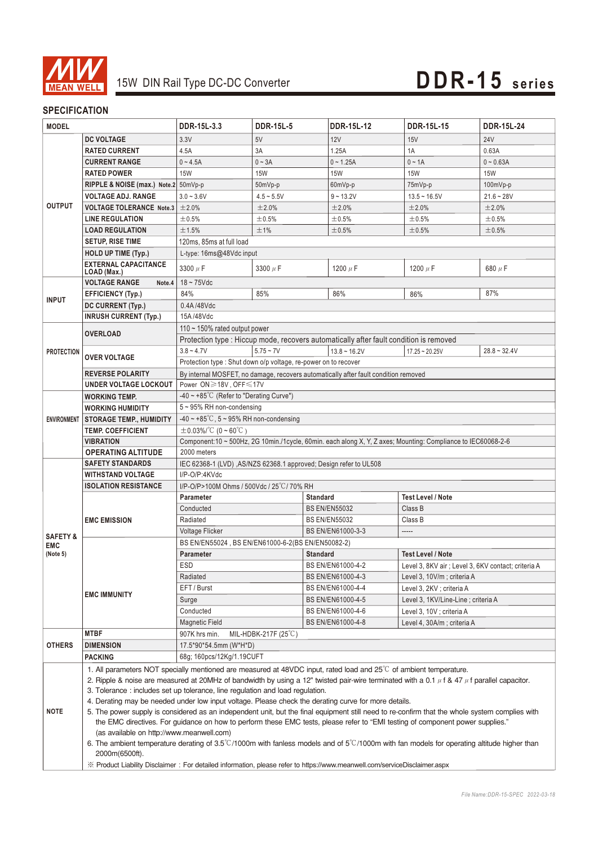

#### **SPECIFICATION**

| <b>MODEL</b>                                                                                                              |                                                                                                                                                                                                                                                                                    | DDR-15L-3.3                                                                                                          | <b>DDR-15L-5</b>                                                                    | <b>DDR-15L-12</b>                                                                      | <b>DDR-15L-15</b>                                   | <b>DDR-15L-24</b> |  |  |  |
|---------------------------------------------------------------------------------------------------------------------------|------------------------------------------------------------------------------------------------------------------------------------------------------------------------------------------------------------------------------------------------------------------------------------|----------------------------------------------------------------------------------------------------------------------|-------------------------------------------------------------------------------------|----------------------------------------------------------------------------------------|-----------------------------------------------------|-------------------|--|--|--|
|                                                                                                                           | <b>DC VOLTAGE</b>                                                                                                                                                                                                                                                                  | 3.3V                                                                                                                 | 5V                                                                                  | 12V                                                                                    | 15V                                                 | <b>24V</b>        |  |  |  |
|                                                                                                                           | <b>RATED CURRENT</b>                                                                                                                                                                                                                                                               | 4.5A                                                                                                                 | 3A                                                                                  | 1.25A                                                                                  | 1A                                                  | 0.63A             |  |  |  |
|                                                                                                                           | <b>CURRENT RANGE</b>                                                                                                                                                                                                                                                               | $0 - 4.5A$                                                                                                           | $0 - 3A$                                                                            | $0 - 1.25A$                                                                            | $0 - 1A$                                            | $0 - 0.63A$       |  |  |  |
| <b>OUTPUT</b>                                                                                                             | <b>RATED POWER</b>                                                                                                                                                                                                                                                                 | <b>15W</b>                                                                                                           | <b>15W</b>                                                                          | <b>15W</b>                                                                             | <b>15W</b>                                          | <b>15W</b>        |  |  |  |
|                                                                                                                           | RIPPLE & NOISE (max.) Note.2 50mVp-p                                                                                                                                                                                                                                               |                                                                                                                      | 50mVp-p                                                                             | 60mVp-p                                                                                | 75mVp-p                                             | 100mVp-p          |  |  |  |
|                                                                                                                           | <b>VOLTAGE ADJ. RANGE</b>                                                                                                                                                                                                                                                          | $3.0 - 3.6V$                                                                                                         | $4.5 - 5.5V$                                                                        | $9 - 13.2V$                                                                            | $13.5 - 16.5V$                                      | $21.6 - 28V$      |  |  |  |
|                                                                                                                           | <b>VOLTAGE TOLERANCE Note.3</b>                                                                                                                                                                                                                                                    | ±2.0%                                                                                                                | ±2.0%                                                                               | ±2.0%                                                                                  | ±2.0%                                               | ±2.0%             |  |  |  |
|                                                                                                                           | <b>LINE REGULATION</b>                                                                                                                                                                                                                                                             | ±0.5%                                                                                                                | ±0.5%                                                                               | ±0.5%                                                                                  | $\pm 0.5\%$                                         | ±0.5%             |  |  |  |
|                                                                                                                           | <b>LOAD REGULATION</b>                                                                                                                                                                                                                                                             | ±1.5%                                                                                                                | ±1%                                                                                 | ±0.5%                                                                                  | ±0.5%                                               | ±0.5%             |  |  |  |
|                                                                                                                           | <b>SETUP, RISE TIME</b>                                                                                                                                                                                                                                                            | 120ms, 85ms at full load                                                                                             |                                                                                     |                                                                                        |                                                     |                   |  |  |  |
|                                                                                                                           | <b>HOLD UP TIME (Typ.)</b>                                                                                                                                                                                                                                                         | L-type: 16ms@48Vdc input                                                                                             |                                                                                     |                                                                                        |                                                     |                   |  |  |  |
|                                                                                                                           | <b>EXTERNAL CAPACITANCE</b>                                                                                                                                                                                                                                                        | 3300 $\mu$ F                                                                                                         | 3300 $\mu$ F                                                                        | 1200 $\mu$ F                                                                           | 1200 $\mu$ F                                        | 680 µF            |  |  |  |
|                                                                                                                           | LOAD (Max.)                                                                                                                                                                                                                                                                        |                                                                                                                      |                                                                                     |                                                                                        |                                                     |                   |  |  |  |
|                                                                                                                           | <b>VOLTAGE RANGE</b><br>Note.4                                                                                                                                                                                                                                                     | $18 - 75$ Vdc                                                                                                        |                                                                                     |                                                                                        |                                                     |                   |  |  |  |
| <b>INPUT</b>                                                                                                              | <b>EFFICIENCY (Typ.)</b>                                                                                                                                                                                                                                                           | 84%                                                                                                                  | 85%                                                                                 | 86%                                                                                    | 86%                                                 | 87%               |  |  |  |
|                                                                                                                           | DC CURRENT (Typ.)                                                                                                                                                                                                                                                                  | 0.4A/48Vdc                                                                                                           |                                                                                     |                                                                                        |                                                     |                   |  |  |  |
|                                                                                                                           | <b>INRUSH CURRENT (Typ.)</b>                                                                                                                                                                                                                                                       | 15A/48Vdc                                                                                                            |                                                                                     |                                                                                        |                                                     |                   |  |  |  |
|                                                                                                                           | <b>OVERLOAD</b>                                                                                                                                                                                                                                                                    | 110 $\sim$ 150% rated output power                                                                                   |                                                                                     |                                                                                        |                                                     |                   |  |  |  |
|                                                                                                                           |                                                                                                                                                                                                                                                                                    |                                                                                                                      |                                                                                     | Protection type : Hiccup mode, recovers automatically after fault condition is removed |                                                     |                   |  |  |  |
| <b>PROTECTION</b>                                                                                                         | <b>OVER VOLTAGE</b>                                                                                                                                                                                                                                                                | $3.8 - 4.7V$                                                                                                         | $5.75 - 7V$                                                                         | $13.8 - 16.2V$                                                                         | $17.25 - 20.25V$                                    | $28.8 - 32.4V$    |  |  |  |
|                                                                                                                           |                                                                                                                                                                                                                                                                                    | Protection type: Shut down o/p voltage, re-power on to recover                                                       |                                                                                     |                                                                                        |                                                     |                   |  |  |  |
|                                                                                                                           | <b>REVERSE POLARITY</b>                                                                                                                                                                                                                                                            |                                                                                                                      | By internal MOSFET, no damage, recovers automatically after fault condition removed |                                                                                        |                                                     |                   |  |  |  |
|                                                                                                                           | UNDER VOLTAGE LOCKOUT                                                                                                                                                                                                                                                              | Power ON≥18V, OFF≤17V                                                                                                |                                                                                     |                                                                                        |                                                     |                   |  |  |  |
|                                                                                                                           | <b>WORKING TEMP.</b>                                                                                                                                                                                                                                                               | $-40 \sim +85^{\circ}$ C (Refer to "Derating Curve")                                                                 |                                                                                     |                                                                                        |                                                     |                   |  |  |  |
|                                                                                                                           | <b>WORKING HUMIDITY</b>                                                                                                                                                                                                                                                            | 5~95% RH non-condensing                                                                                              |                                                                                     |                                                                                        |                                                     |                   |  |  |  |
| <b>ENVIRONMENT</b>                                                                                                        | <b>STORAGE TEMP., HUMIDITY</b>                                                                                                                                                                                                                                                     | -40 ~ +85°C, $5$ ~ 95% RH non-condensing                                                                             |                                                                                     |                                                                                        |                                                     |                   |  |  |  |
|                                                                                                                           | <b>TEMP. COEFFICIENT</b>                                                                                                                                                                                                                                                           | $\pm 0.03\%$ /°C (0 ~ 60°C)                                                                                          |                                                                                     |                                                                                        |                                                     |                   |  |  |  |
|                                                                                                                           | <b>VIBRATION</b>                                                                                                                                                                                                                                                                   | Component:10 ~ 500Hz, 2G 10min./1cycle, 60min. each along X, Y, Z axes; Mounting: Compliance to IEC60068-2-6         |                                                                                     |                                                                                        |                                                     |                   |  |  |  |
|                                                                                                                           | <b>OPERATING ALTITUDE</b>                                                                                                                                                                                                                                                          | 2000 meters                                                                                                          |                                                                                     |                                                                                        |                                                     |                   |  |  |  |
|                                                                                                                           | <b>SAFETY STANDARDS</b>                                                                                                                                                                                                                                                            | IEC 62368-1 (LVD), AS/NZS 62368.1 approved; Design refer to UL508                                                    |                                                                                     |                                                                                        |                                                     |                   |  |  |  |
|                                                                                                                           | <b>WITHSTAND VOLTAGE</b>                                                                                                                                                                                                                                                           | I/P-O/P:4KVdc                                                                                                        |                                                                                     |                                                                                        |                                                     |                   |  |  |  |
|                                                                                                                           | <b>ISOLATION RESISTANCE</b>                                                                                                                                                                                                                                                        | I/P-O/P>100M Ohms / 500Vdc / 25°C / 70% RH                                                                           |                                                                                     |                                                                                        |                                                     |                   |  |  |  |
|                                                                                                                           | <b>EMC EMISSION</b>                                                                                                                                                                                                                                                                | <b>Parameter</b><br>Conducted                                                                                        |                                                                                     | <b>Standard</b>                                                                        | <b>Test Level / Note</b><br>Class B                 |                   |  |  |  |
|                                                                                                                           |                                                                                                                                                                                                                                                                                    | Radiated                                                                                                             |                                                                                     | <b>BS EN/EN55032</b><br><b>BS EN/EN55032</b>                                           |                                                     |                   |  |  |  |
|                                                                                                                           |                                                                                                                                                                                                                                                                                    |                                                                                                                      |                                                                                     |                                                                                        | Class B<br>-----                                    |                   |  |  |  |
| <b>SAFETY &amp;</b>                                                                                                       |                                                                                                                                                                                                                                                                                    | Voltage Flicker<br>BS EN/EN61000-3-3                                                                                 |                                                                                     |                                                                                        |                                                     |                   |  |  |  |
| <b>EMC</b><br>(Note 5)                                                                                                    | <b>EMC IMMUNITY</b>                                                                                                                                                                                                                                                                | BS EN/EN55024, BS EN/EN61000-6-2(BS EN/EN50082-2)<br><b>Standard</b><br><b>Test Level / Note</b><br><b>Parameter</b> |                                                                                     |                                                                                        |                                                     |                   |  |  |  |
|                                                                                                                           |                                                                                                                                                                                                                                                                                    | ESD                                                                                                                  |                                                                                     | BS EN/EN61000-4-2                                                                      | Level 3, 8KV air ; Level 3, 6KV contact; criteria A |                   |  |  |  |
|                                                                                                                           |                                                                                                                                                                                                                                                                                    | Radiated                                                                                                             |                                                                                     | BS EN/EN61000-4-3                                                                      | Level 3, 10V/m; criteria A                          |                   |  |  |  |
|                                                                                                                           |                                                                                                                                                                                                                                                                                    | EFT / Burst                                                                                                          |                                                                                     | BS EN/EN61000-4-4                                                                      | Level 3, 2KV ; criteria A                           |                   |  |  |  |
|                                                                                                                           |                                                                                                                                                                                                                                                                                    | Surge                                                                                                                |                                                                                     | BS EN/EN61000-4-5                                                                      | Level 3, 1KV/Line-Line; criteria A                  |                   |  |  |  |
|                                                                                                                           |                                                                                                                                                                                                                                                                                    | Conducted                                                                                                            |                                                                                     | BS EN/EN61000-4-6                                                                      | Level 3, 10V ; criteria A                           |                   |  |  |  |
|                                                                                                                           |                                                                                                                                                                                                                                                                                    | <b>Magnetic Field</b>                                                                                                |                                                                                     | BS EN/EN61000-4-8                                                                      | Level 4, 30A/m ; criteria A                         |                   |  |  |  |
|                                                                                                                           | <b>MTBF</b>                                                                                                                                                                                                                                                                        | MIL-HDBK-217F $(25^{\circ}C)$<br>907K hrs min.                                                                       |                                                                                     |                                                                                        |                                                     |                   |  |  |  |
| <b>OTHERS</b>                                                                                                             | <b>DIMENSION</b>                                                                                                                                                                                                                                                                   | 17.5*90*54.5mm (W*H*D)                                                                                               |                                                                                     |                                                                                        |                                                     |                   |  |  |  |
|                                                                                                                           | <b>PACKING</b>                                                                                                                                                                                                                                                                     | 68g; 160pcs/12Kg/1.19CUFT                                                                                            |                                                                                     |                                                                                        |                                                     |                   |  |  |  |
|                                                                                                                           |                                                                                                                                                                                                                                                                                    |                                                                                                                      |                                                                                     |                                                                                        |                                                     |                   |  |  |  |
|                                                                                                                           | 1. All parameters NOT specially mentioned are measured at 48VDC input, rated load and $25^{\circ}$ of ambient temperature.<br>2. Ripple & noise are measured at 20MHz of bandwidth by using a 12" twisted pair-wire terminated with a 0.1 $\mu$ f & 47 $\mu$ f parallel capacitor. |                                                                                                                      |                                                                                     |                                                                                        |                                                     |                   |  |  |  |
| <b>NOTE</b>                                                                                                               |                                                                                                                                                                                                                                                                                    | 3. Tolerance: includes set up tolerance, line regulation and load regulation.                                        |                                                                                     |                                                                                        |                                                     |                   |  |  |  |
|                                                                                                                           | 4. Derating may be needed under low input voltage. Please check the derating curve for more details.                                                                                                                                                                               |                                                                                                                      |                                                                                     |                                                                                        |                                                     |                   |  |  |  |
|                                                                                                                           | 5. The power supply is considered as an independent unit, but the final equipment still need to re-confirm that the whole system complies with                                                                                                                                     |                                                                                                                      |                                                                                     |                                                                                        |                                                     |                   |  |  |  |
|                                                                                                                           | the EMC directives. For guidance on how to perform these EMC tests, please refer to "EMI testing of component power supplies."                                                                                                                                                     |                                                                                                                      |                                                                                     |                                                                                        |                                                     |                   |  |  |  |
|                                                                                                                           | (as available on http://www.meanwell.com)                                                                                                                                                                                                                                          |                                                                                                                      |                                                                                     |                                                                                        |                                                     |                   |  |  |  |
|                                                                                                                           | 6. The ambient temperature derating of 3.5°C/1000m with fanless models and of 5°C/1000m with fan models for operating altitude higher than                                                                                                                                         |                                                                                                                      |                                                                                     |                                                                                        |                                                     |                   |  |  |  |
|                                                                                                                           | 2000m(6500ft).                                                                                                                                                                                                                                                                     |                                                                                                                      |                                                                                     |                                                                                        |                                                     |                   |  |  |  |
| ※ Product Liability Disclaimer: For detailed information, please refer to https://www.meanwell.com/serviceDisclaimer.aspx |                                                                                                                                                                                                                                                                                    |                                                                                                                      |                                                                                     |                                                                                        |                                                     |                   |  |  |  |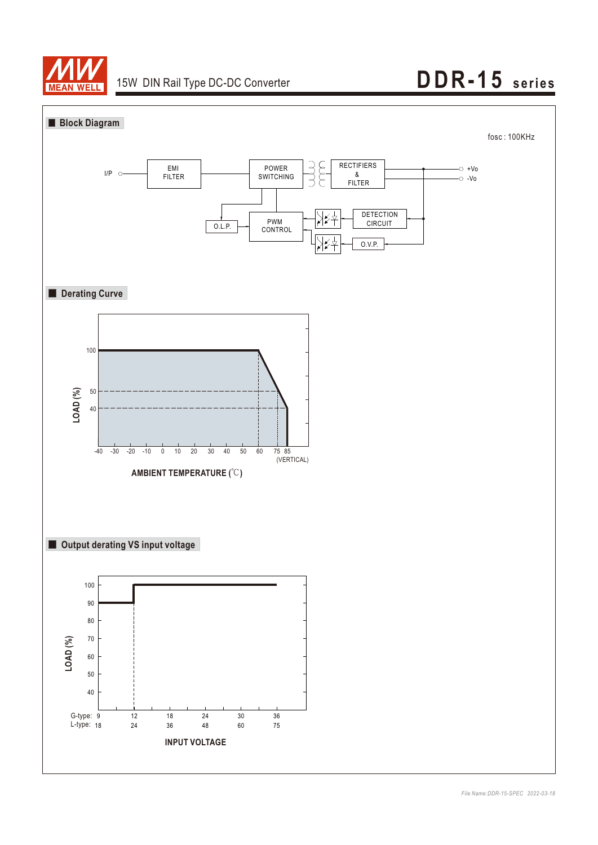